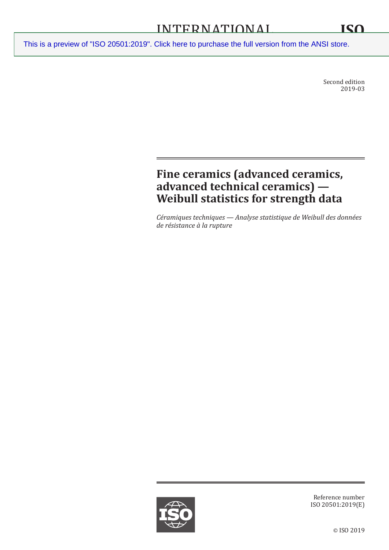Second edition 2019-03

# **Fine ceramics (advanced ceramics, advanced technical ceramics) — Weibull statistics for strength data**

*Céramiques techniques — Analyse statistique de Weibull des données de résistance à la rupture*



Reference number ISO 20501:2019(E)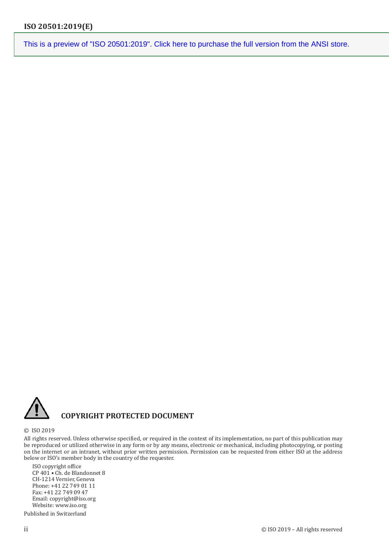

### **COPYRIGHT PROTECTED DOCUMENT**

#### © ISO 2019

All rights reserved. Unless otherwise specified, or required in the context of its implementation, no part of this publication may be reproduced or utilized otherwise in any form or by any means, electronic or mechanical, including photocopying, or posting on the internet or an intranet, without prior written permission. Permission can be requested from either ISO at the address below or ISO's member body in the country of the requester.

ISO copyright office CP 401 • Ch. de Blandonnet 8 CH-1214 Vernier, Geneva Phone: +41 22 749 01 11 Fax: +41 22 749 09 47 Email: copyright@iso.org Website: www.iso.org

Published in Switzerland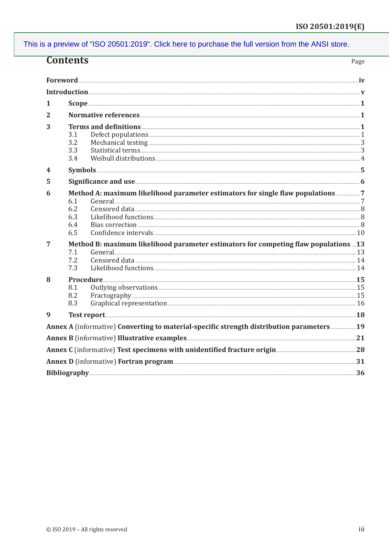| <b>Contents</b>                                                                                  |                                                                                    |                                                                                           | Page |
|--------------------------------------------------------------------------------------------------|------------------------------------------------------------------------------------|-------------------------------------------------------------------------------------------|------|
|                                                                                                  |                                                                                    |                                                                                           |      |
|                                                                                                  |                                                                                    |                                                                                           |      |
| 1                                                                                                |                                                                                    |                                                                                           |      |
| 2                                                                                                |                                                                                    |                                                                                           |      |
| 3                                                                                                |                                                                                    |                                                                                           |      |
|                                                                                                  | 3.1                                                                                |                                                                                           |      |
|                                                                                                  | 3.2                                                                                |                                                                                           |      |
|                                                                                                  | 3.3                                                                                |                                                                                           |      |
|                                                                                                  | 3.4                                                                                |                                                                                           |      |
| 4                                                                                                |                                                                                    |                                                                                           |      |
| 5                                                                                                |                                                                                    | Significance and use <b>Exercise and Election</b> 6                                       |      |
| 6                                                                                                | Method A: maximum likelihood parameter estimators for single flaw populations      |                                                                                           |      |
|                                                                                                  | 6.1                                                                                |                                                                                           |      |
|                                                                                                  | 6.2                                                                                |                                                                                           |      |
|                                                                                                  | 6.3<br>6.4                                                                         |                                                                                           |      |
|                                                                                                  | 6.5                                                                                |                                                                                           |      |
| 7                                                                                                | Method B: maximum likelihood parameter estimators for competing flaw populations13 |                                                                                           |      |
|                                                                                                  | 7.1                                                                                |                                                                                           |      |
|                                                                                                  | 7.2                                                                                |                                                                                           |      |
|                                                                                                  | 7.3                                                                                |                                                                                           |      |
| 8                                                                                                |                                                                                    |                                                                                           |      |
|                                                                                                  | 8.1                                                                                |                                                                                           |      |
|                                                                                                  | 8.2                                                                                |                                                                                           |      |
|                                                                                                  | 8.3                                                                                |                                                                                           |      |
| 9                                                                                                |                                                                                    |                                                                                           |      |
|                                                                                                  |                                                                                    | Annex A (informative) Converting to material-specific strength distribution parameters 19 |      |
|                                                                                                  |                                                                                    | Annex B (informative) Illustrative examples <b>Examples</b> 21                            |      |
| Annex C (informative) Test specimens with unidentified fracture origin <b>Manual Stratege 18</b> |                                                                                    |                                                                                           |      |
|                                                                                                  |                                                                                    |                                                                                           |      |
|                                                                                                  |                                                                                    |                                                                                           |      |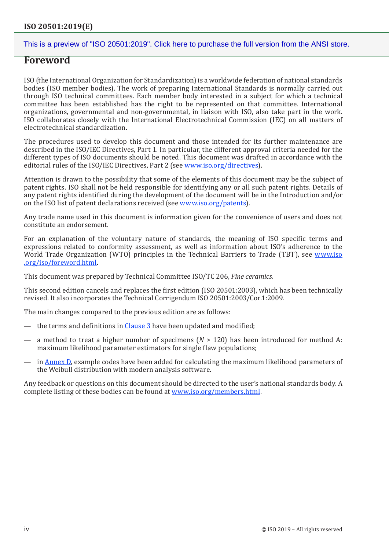### **Foreword**

ISO (the International Organization for Standardization) is a worldwide federation of national standards bodies (ISO member bodies). The work of preparing International Standards is normally carried out through ISO technical committees. Each member body interested in a subject for which a technical committee has been established has the right to be represented on that committee. International organizations, governmental and non-governmental, in liaison with ISO, also take part in the work. ISO collaborates closely with the International Electrotechnical Commission (IEC) on all matters of electrotechnical standardization.

The procedures used to develop this document and those intended for its further maintenance are described in the ISO/IEC Directives, Part 1. In particular, the different approval criteria needed for the different types of ISO documents should be noted. This document was drafted in accordance with the editorial rules of the ISO/IEC Directives, Part 2 (see [www.iso.org/directives\)](https://www.iso.org/directives-and-policies.html).

Attention is drawn to the possibility that some of the elements of this document may be the subject of patent rights. ISO shall not be held responsible for identifying any or all such patent rights. Details of any patent rights identified during the development of the document will be in the Introduction and/or on the ISO list of patent declarations received (see www.iso[.org/patents](https://www.iso.org/iso-standards-and-patents.html)).

Any trade name used in this document is information given for the convenience of users and does not constitute an endorsement.

For an explanation of the voluntary nature of standards, the meaning of ISO specific terms and expressions related to conformity assessment, as well as information about ISO's adherence to the World Trade Organization (WTO) principles in the Technical Barriers to Trade (TBT), see [www.iso](https://www.iso.org/foreword-supplementary-information.html) [.org/iso/foreword.html](https://www.iso.org/foreword-supplementary-information.html).

This document was prepared by Technical Committee ISO/TC 206, *Fine ceramics*.

This second edition cancels and replaces the first edition (ISO 20501:2003), which has been technically revised. It also incorporates the Technical Corrigendum ISO 20501:2003/Cor.1:2009.

The main changes compared to the previous edition are as follows:

- the terms and definitions in Clause 3 have been updated and modified;
- a method to treat a higher number of specimens (*N* > 120) has been introduced for method A: maximum likelihood parameter estimators for single flaw populations;
- in Annex D, example codes have been added for calculating the maximum likelihood parameters of the Weibull distribution with modern analysis software.

Any feedback or questions on this document should be directed to the user's national standards body. A complete listing of these bodies can be found at [www.iso.org/members.html.](https://www.iso.org/members.html)